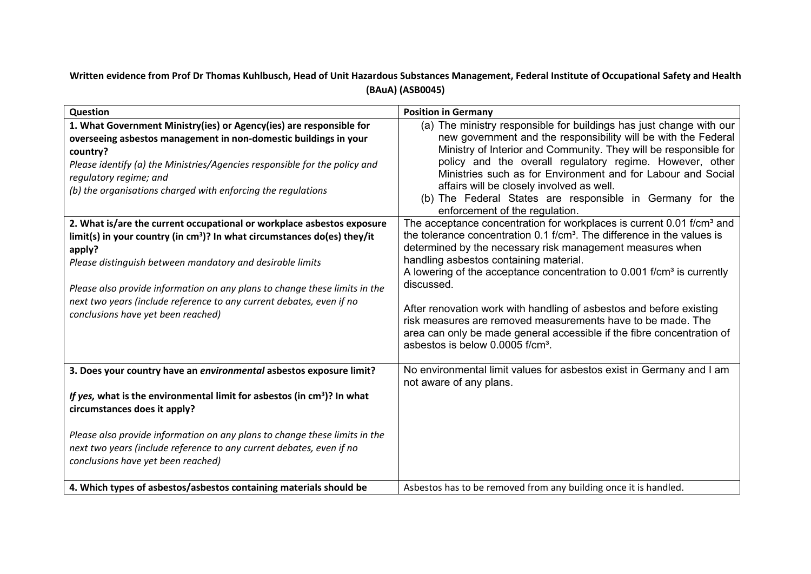## Written evidence from Prof Dr Thomas Kuhlbusch, Head of Unit Hazardous Substances Management, Federal Institute of Occupational Safety and Health **(BAuA) (ASB0045)**

| Question                                                                                                                                                                                                                                                                                                                                                                                                                | <b>Position in Germany</b>                                                                                                                                                                                                                                                                                                                                                                                                                                                                                                                                                                                                                          |
|-------------------------------------------------------------------------------------------------------------------------------------------------------------------------------------------------------------------------------------------------------------------------------------------------------------------------------------------------------------------------------------------------------------------------|-----------------------------------------------------------------------------------------------------------------------------------------------------------------------------------------------------------------------------------------------------------------------------------------------------------------------------------------------------------------------------------------------------------------------------------------------------------------------------------------------------------------------------------------------------------------------------------------------------------------------------------------------------|
| 1. What Government Ministry(ies) or Agency(ies) are responsible for<br>overseeing asbestos management in non-domestic buildings in your<br>country?<br>Please identify (a) the Ministries/Agencies responsible for the policy and<br>regulatory regime; and<br>(b) the organisations charged with enforcing the regulations                                                                                             | (a) The ministry responsible for buildings has just change with our<br>new government and the responsibility will be with the Federal<br>Ministry of Interior and Community. They will be responsible for<br>policy and the overall regulatory regime. However, other<br>Ministries such as for Environment and for Labour and Social<br>affairs will be closely involved as well.<br>(b) The Federal States are responsible in Germany for the<br>enforcement of the regulation.                                                                                                                                                                   |
| 2. What is/are the current occupational or workplace asbestos exposure<br>limit(s) in your country (in $cm3$ )? In what circumstances do(es) they/it<br>apply?<br>Please distinguish between mandatory and desirable limits<br>Please also provide information on any plans to change these limits in the<br>next two years (include reference to any current debates, even if no<br>conclusions have yet been reached) | The acceptance concentration for workplaces is current 0.01 f/cm <sup>3</sup> and<br>the tolerance concentration 0.1 f/cm <sup>3</sup> . The difference in the values is<br>determined by the necessary risk management measures when<br>handling asbestos containing material.<br>A lowering of the acceptance concentration to 0.001 f/cm <sup>3</sup> is currently<br>discussed.<br>After renovation work with handling of asbestos and before existing<br>risk measures are removed measurements have to be made. The<br>area can only be made general accessible if the fibre concentration of<br>asbestos is below 0.0005 f/cm <sup>3</sup> . |
| 3. Does your country have an environmental asbestos exposure limit?                                                                                                                                                                                                                                                                                                                                                     | No environmental limit values for asbestos exist in Germany and I am<br>not aware of any plans.                                                                                                                                                                                                                                                                                                                                                                                                                                                                                                                                                     |
| If yes, what is the environmental limit for asbestos (in cm <sup>3</sup> )? In what<br>circumstances does it apply?                                                                                                                                                                                                                                                                                                     |                                                                                                                                                                                                                                                                                                                                                                                                                                                                                                                                                                                                                                                     |
| Please also provide information on any plans to change these limits in the<br>next two years (include reference to any current debates, even if no<br>conclusions have yet been reached)                                                                                                                                                                                                                                |                                                                                                                                                                                                                                                                                                                                                                                                                                                                                                                                                                                                                                                     |
| 4. Which types of asbestos/asbestos containing materials should be                                                                                                                                                                                                                                                                                                                                                      | Asbestos has to be removed from any building once it is handled.                                                                                                                                                                                                                                                                                                                                                                                                                                                                                                                                                                                    |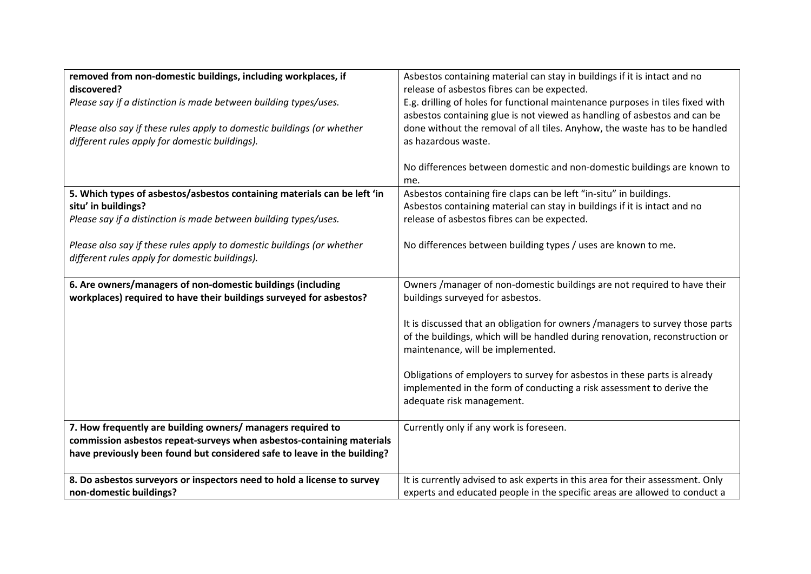| removed from non-domestic buildings, including workplaces, if            | Asbestos containing material can stay in buildings if it is intact and no      |
|--------------------------------------------------------------------------|--------------------------------------------------------------------------------|
| discovered?                                                              | release of asbestos fibres can be expected.                                    |
| Please say if a distinction is made between building types/uses.         | E.g. drilling of holes for functional maintenance purposes in tiles fixed with |
|                                                                          | asbestos containing glue is not viewed as handling of asbestos and can be      |
| Please also say if these rules apply to domestic buildings (or whether   | done without the removal of all tiles. Anyhow, the waste has to be handled     |
| different rules apply for domestic buildings).                           | as hazardous waste.                                                            |
|                                                                          |                                                                                |
|                                                                          | No differences between domestic and non-domestic buildings are known to        |
|                                                                          | me.                                                                            |
| 5. Which types of asbestos/asbestos containing materials can be left 'in | Asbestos containing fire claps can be left "in-situ" in buildings.             |
| situ' in buildings?                                                      | Asbestos containing material can stay in buildings if it is intact and no      |
| Please say if a distinction is made between building types/uses.         | release of asbestos fibres can be expected.                                    |
|                                                                          |                                                                                |
| Please also say if these rules apply to domestic buildings (or whether   | No differences between building types / uses are known to me.                  |
| different rules apply for domestic buildings).                           |                                                                                |
|                                                                          |                                                                                |
| 6. Are owners/managers of non-domestic buildings (including              | Owners / manager of non-domestic buildings are not required to have their      |
| workplaces) required to have their buildings surveyed for asbestos?      | buildings surveyed for asbestos.                                               |
|                                                                          |                                                                                |
|                                                                          | It is discussed that an obligation for owners /managers to survey those parts  |
|                                                                          | of the buildings, which will be handled during renovation, reconstruction or   |
|                                                                          | maintenance, will be implemented.                                              |
|                                                                          |                                                                                |
|                                                                          | Obligations of employers to survey for asbestos in these parts is already      |
|                                                                          | implemented in the form of conducting a risk assessment to derive the          |
|                                                                          | adequate risk management.                                                      |
|                                                                          |                                                                                |
| 7. How frequently are building owners/ managers required to              | Currently only if any work is foreseen.                                        |
| commission asbestos repeat-surveys when asbestos-containing materials    |                                                                                |
| have previously been found but considered safe to leave in the building? |                                                                                |
|                                                                          |                                                                                |
| 8. Do asbestos surveyors or inspectors need to hold a license to survey  | It is currently advised to ask experts in this area for their assessment. Only |
| non-domestic buildings?                                                  | experts and educated people in the specific areas are allowed to conduct a     |